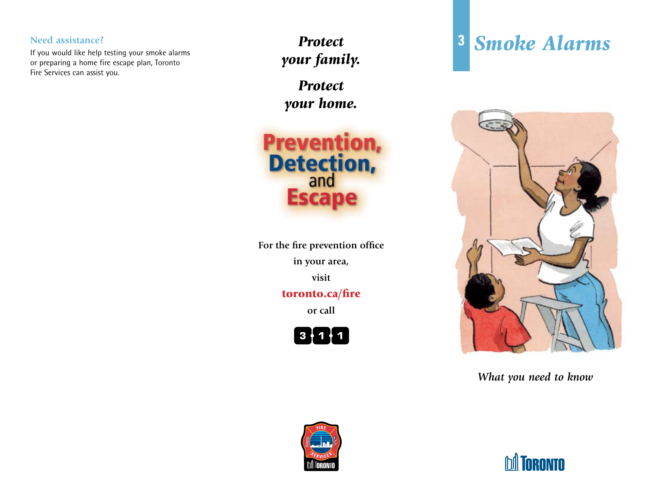If you would like help testing your smoke alarms or preparing a home fire escape plan, Toronto Fire Services can assist you.

**Need assistance? 3** *Protect your family.*

> *Protect your home.*

**Prevention, Detection, Escape** 

**For the fire prevention office in your area, visit** toronto.ca/fire

**or call**



# *Smoke Alarms*



*What you need to know*